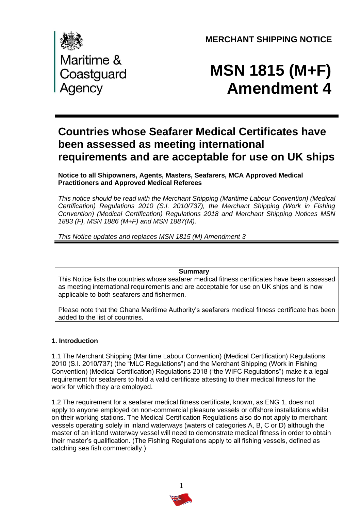**MERCHANT SHIPPING NOTICE** 



# **MSN 1815 (M+F) Amendment 4**

# **Countries whose Seafarer Medical Certificates have been assessed as meeting international requirements and are acceptable for use on UK ships**

 **Notice to all Shipowners, Agents, Masters, Seafarers, MCA Approved Medical Practitioners and Approved Medical Referees** 

 *This notice should be read with the Merchant Shipping (Maritime Labour Convention) (Medical*  Certification) Regulations 2010 (S.I. 2010/737), the Merchant Shipping (Work in Fishing  *Convention) (Medical Certification) Regulations 2018 and Merchant Shipping Notices MSN 1883 (F), MSN 1886 (M+F) and MSN 1887(M).* 

 *This Notice updates and replaces MSN 1815 (M) Amendment 3* 

**Summary** 

 This Notice lists the countries whose seafarer medical fitness certificates have been assessed as meeting international requirements and are acceptable for use on UK ships and is now applicable to both seafarers and fishermen.

 added to the list of countries. Please note that the Ghana Maritime Authority's seafarers medical fitness certificate has been

## **1. Introduction**

1.1 The Merchant Shipping (Maritime Labour Convention) (Medical Certification) Regulations 2010 (S.I. 2010/737) (the "MLC Regulations") and the Merchant Shipping (Work in Fishing Convention) (Medical Certification) Regulations 2018 ("the WIFC Regulations") make it a legal requirement for seafarers to hold a valid certificate attesting to their medical fitness for the work for which they are employed.

1.2 The requirement for a seafarer medical fitness certificate, known, as ENG 1, does not apply to anyone employed on non-commercial pleasure vessels or offshore installations whilst on their working stations. The Medical Certification Regulations also do not apply to merchant vessels operating solely in inland waterways (waters of categories A, B, C or D) although the master of an inland waterway vessel will need to demonstrate medical fitness in order to obtain their master's qualification. (The Fishing Regulations apply to all fishing vessels, defined as catching sea fish commercially.)

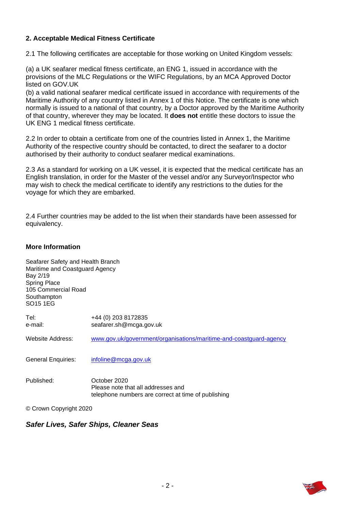## **2. Acceptable Medical Fitness Certificate**

2.1 The following certificates are acceptable for those working on United Kingdom vessels:

(a) a UK seafarer medical fitness certificate, an ENG 1, issued in accordance with the provisions of the MLC Regulations or the WIFC Regulations, by an MCA Approved Doctor listed on GOV.UK

(b) a valid national seafarer medical certificate issued in accordance with requirements of the Maritime Authority of any country listed in Annex 1 of this Notice. The certificate is one which normally is issued to a national of that country, by a Doctor approved by the Maritime Authority of that country, wherever they may be located. It **does not** entitle these doctors to issue the UK ENG 1 medical fitness certificate.

2.2 In order to obtain a certificate from one of the countries listed in Annex 1, the Maritime Authority of the respective country should be contacted, to direct the seafarer to a doctor authorised by their authority to conduct seafarer medical examinations.

2.3 As a standard for working on a UK vessel, it is expected that the medical certificate has an English translation, in order for the Master of the vessel and/or any Surveyor/Inspector who may wish to check the medical certificate to identify any restrictions to the duties for the voyage for which they are embarked.

2.4 Further countries may be added to the list when their standards have been assessed for equivalency.

#### **More Information**

| Seafarer Safety and Health Branch<br>Maritime and Coastguard Agency<br>Bay 2/19<br><b>Spring Place</b><br>105 Commercial Road<br>Southampton<br>SO15 1EG |                                                                                                           |
|----------------------------------------------------------------------------------------------------------------------------------------------------------|-----------------------------------------------------------------------------------------------------------|
| Tel:<br>e-mail:                                                                                                                                          | +44 (0) 203 8172835<br>seafarer.sh@mcga.gov.uk                                                            |
| Website Address:                                                                                                                                         | www.gov.uk/government/organisations/maritime-and-coastguard-agency                                        |
| <b>General Enquiries:</b>                                                                                                                                | infoline@mcga.gov.uk                                                                                      |
| Published:                                                                                                                                               | October 2020<br>Please note that all addresses and<br>telephone numbers are correct at time of publishing |

© Crown Copyright 2020

#### *. Safer Lives, Safer Ships, Cleaner Seas*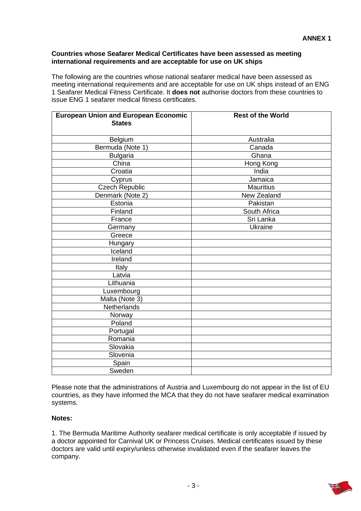#### **Countries whose Seafarer Medical Certificates have been assessed as meeting international requirements and are acceptable for use on UK ships**

 The following are the countries whose national seafarer medical have been assessed as meeting international requirements and are acceptable for use on UK ships instead of an ENG 1 Seafarer Medical Fitness Certificate. It **does not** authorise doctors from these countries to issue ENG 1 seafarer medical fitness certificates.

| <b>European Union and European Economic</b><br><b>States</b> | <b>Rest of the World</b> |
|--------------------------------------------------------------|--------------------------|
|                                                              |                          |
| Belgium                                                      | Australia                |
| Bermuda (Note 1)                                             | Canada                   |
| <b>Bulgaria</b>                                              | Ghana                    |
| China                                                        | Hong Kong                |
| Croatia                                                      | India                    |
| Cyprus                                                       | Jamaica                  |
| <b>Czech Republic</b>                                        | <b>Mauritius</b>         |
| Denmark (Note 2)                                             | New Zealand              |
| Estonia                                                      | Pakistan                 |
| Finland                                                      | South Africa             |
| France                                                       | Sri Lanka                |
| Germany                                                      | Ukraine                  |
| Greece                                                       |                          |
| Hungary                                                      |                          |
| Iceland                                                      |                          |
| Ireland                                                      |                          |
| Italy                                                        |                          |
| Latvia                                                       |                          |
| Lithuania                                                    |                          |
| Luxembourg                                                   |                          |
| Malta (Note 3)                                               |                          |
| <b>Netherlands</b>                                           |                          |
| Norway                                                       |                          |
| Poland                                                       |                          |
| Portugal                                                     |                          |
| Romania                                                      |                          |
| Slovakia                                                     |                          |
| Slovenia                                                     |                          |
| Spain                                                        |                          |
| Sweden                                                       |                          |

 Please note that the administrations of Austria and Luxembourg do not appear in the list of EU countries, as they have informed the MCA that they do not have seafarer medical examination systems.

#### **Notes:**

1. The Bermuda Maritime Authority seafarer medical certificate is only acceptable if issued by a doctor appointed for Carnival UK or Princess Cruises. Medical certificates issued by these doctors are valid until expiry/unless otherwise invalidated even if the seafarer leaves the company.